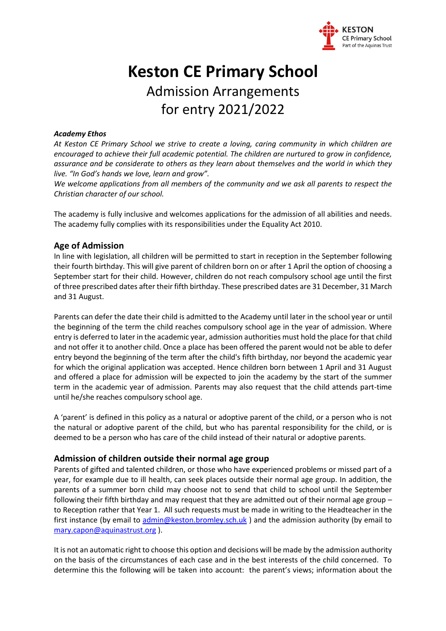

# **Keston CE Primary School** Admission Arrangements for entry 2021/2022

#### *Academy Ethos*

*At Keston CE Primary School we strive to create a loving, caring community in which children are encouraged to achieve their full academic potential. The children are nurtured to grow in confidence, assurance and be considerate to others as they learn about themselves and the world in which they live. "In God's hands we love, learn and grow".*

*We welcome applications from all members of the community and we ask all parents to respect the Christian character of our school.* 

The academy is fully inclusive and welcomes applications for the admission of all abilities and needs. The academy fully complies with its responsibilities under the Equality Act 2010.

# **Age of Admission**

In line with legislation, all children will be permitted to start in reception in the September following their fourth birthday. This will give parent of children born on or after 1 April the option of choosing a September start for their child. However, children do not reach compulsory school age until the first of three prescribed dates after their fifth birthday. These prescribed dates are 31 December, 31 March and 31 August.

Parents can defer the date their child is admitted to the Academy until later in the school year or until the beginning of the term the child reaches compulsory school age in the year of admission. Where entry is deferred to later in the academic year, admission authorities must hold the place for that child and not offer it to another child. Once a place has been offered the parent would not be able to defer entry beyond the beginning of the term after the child's fifth birthday, nor beyond the academic year for which the original application was accepted. Hence children born between 1 April and 31 August and offered a place for admission will be expected to join the academy by the start of the summer term in the academic year of admission. Parents may also request that the child attends part-time until he/she reaches compulsory school age.

A 'parent' is defined in this policy as a natural or adoptive parent of the child, or a person who is not the natural or adoptive parent of the child, but who has parental responsibility for the child, or is deemed to be a person who has care of the child instead of their natural or adoptive parents.

# **Admission of children outside their normal age group**

Parents of gifted and talented children, or those who have experienced problems or missed part of a year, for example due to ill health, can seek places outside their normal age group. In addition, the parents of a summer born child may choose not to send that child to school until the September following their fifth birthday and may request that they are admitted out of their normal age group – to Reception rather that Year 1. All such requests must be made in writing to the Headteacher in the first instance (by email to [admin@keston.bromley.sch.uk](mailto:admin@keston.bromley.sch.uk)) and the admission authority (by email to [mary.capon@aquinastrust.org](mailto:mary.capon@aquinastrust.org) ).

It is not an automatic right to choose this option and decisions will be made by the admission authority on the basis of the circumstances of each case and in the best interests of the child concerned. To determine this the following will be taken into account: the parent's views; information about the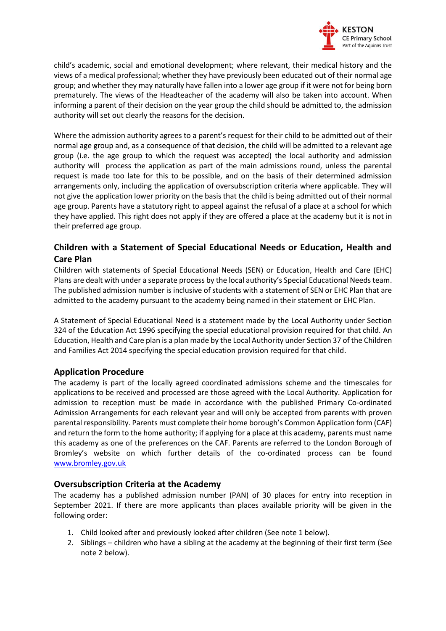

child's academic, social and emotional development; where relevant, their medical history and the views of a medical professional; whether they have previously been educated out of their normal age group; and whether they may naturally have fallen into a lower age group if it were not for being born prematurely. The views of the Headteacher of the academy will also be taken into account. When informing a parent of their decision on the year group the child should be admitted to, the admission authority will set out clearly the reasons for the decision.

Where the admission authority agrees to a parent's request for their child to be admitted out of their normal age group and, as a consequence of that decision, the child will be admitted to a relevant age group (i.e. the age group to which the request was accepted) the local authority and admission authority will process the application as part of the main admissions round, unless the parental request is made too late for this to be possible, and on the basis of their determined admission arrangements only, including the application of oversubscription criteria where applicable. They will not give the application lower priority on the basis that the child is being admitted out of their normal age group. Parents have a statutory right to appeal against the refusal of a place at a school for which they have applied. This right does not apply if they are offered a place at the academy but it is not in their preferred age group.

# **Children with a Statement of Special Educational Needs or Education, Health and Care Plan**

Children with statements of Special Educational Needs (SEN) or Education, Health and Care (EHC) Plans are dealt with under a separate process by the local authority's Special Educational Needs team. The published admission number is inclusive of students with a statement of SEN or EHC Plan that are admitted to the academy pursuant to the academy being named in their statement or EHC Plan.

A Statement of Special Educational Need is a statement made by the Local Authority under Section 324 of the Education Act 1996 specifying the special educational provision required for that child. An Education, Health and Care plan is a plan made by the Local Authority under Section 37 of the Children and Families Act 2014 specifying the special education provision required for that child.

# **Application Procedure**

The academy is part of the locally agreed coordinated admissions scheme and the timescales for applications to be received and processed are those agreed with the Local Authority. Application for admission to reception must be made in accordance with the published Primary Co-ordinated Admission Arrangements for each relevant year and will only be accepted from parents with proven parental responsibility. Parents must complete their home borough's Common Application form (CAF) and return the form to the home authority; if applying for a place at this academy, parents must name this academy as one of the preferences on the CAF. Parents are referred to the London Borough of Bromley's website on which further details of the co-ordinated process can be found [www.bromley.gov.uk](http://www.bromley.gov.uk/)

# **Oversubscription Criteria at the Academy**

The academy has a published admission number (PAN) of 30 places for entry into reception in September 2021. If there are more applicants than places available priority will be given in the following order:

- 1. Child looked after and previously looked after children (See note 1 below).
- 2. Siblings children who have a sibling at the academy at the beginning of their first term (See note 2 below).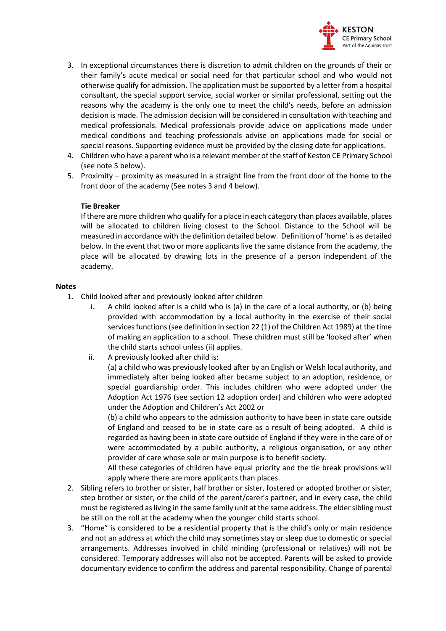

- 3. In exceptional circumstances there is discretion to admit children on the grounds of their or their family's acute medical or social need for that particular school and who would not otherwise qualify for admission. The application must be supported by a letter from a hospital consultant, the special support service, social worker or similar professional, setting out the reasons why the academy is the only one to meet the child's needs, before an admission decision is made. The admission decision will be considered in consultation with teaching and medical professionals. Medical professionals provide advice on applications made under medical conditions and teaching professionals advise on applications made for social or special reasons. Supporting evidence must be provided by the closing date for applications.
- 4. Children who have a parent who is a relevant member of the staff of Keston CE Primary School (see note 5 below).
- 5. Proximity proximity as measured in a straight line from the front door of the home to the front door of the academy (See notes 3 and 4 below).

#### **Tie Breaker**

If there are more children who qualify for a place in each category than places available, places will be allocated to children living closest to the School. Distance to the School will be measured in accordance with the definition detailed below. Definition of 'home' is as detailed below. In the event that two or more applicants live the same distance from the academy, the place will be allocated by drawing lots in the presence of a person independent of the academy.

#### **Notes**

- 1. Child looked after and previously looked after children
	- i. A child looked after is a child who is (a) in the care of a local authority, or (b) being provided with accommodation by a local authority in the exercise of their social services functions (see definition in section 22 (1) of the Children Act 1989) at the time of making an application to a school. These children must still be 'looked after' when the child starts school unless (ii) applies.
	- ii. A previously looked after child is:

(a) a child who was previously looked after by an English or Welsh local authority, and immediately after being looked after became subject to an adoption, residence, or special guardianship order. This includes children who were adopted under the Adoption Act 1976 (see section 12 adoption order) and children who were adopted under the Adoption and Children's Act 2002 or

(b) a child who appears to the admission authority to have been in state care outside of England and ceased to be in state care as a result of being adopted. A child is regarded as having been in state care outside of England if they were in the care of or were accommodated by a public authority, a religious organisation, or any other provider of care whose sole or main purpose is to benefit society.

All these categories of children have equal priority and the tie break provisions will apply where there are more applicants than places.

- 2. Sibling refers to brother or sister, half brother or sister, fostered or adopted brother or sister, step brother or sister, or the child of the parent/carer's partner, and in every case, the child must be registered as living in the same family unit at the same address. The elder sibling must be still on the roll at the academy when the younger child starts school.
- 3. "Home" is considered to be a residential property that is the child's only or main residence and not an address at which the child may sometimes stay or sleep due to domestic or special arrangements. Addresses involved in child minding (professional or relatives) will not be considered. Temporary addresses will also not be accepted. Parents will be asked to provide documentary evidence to confirm the address and parental responsibility. Change of parental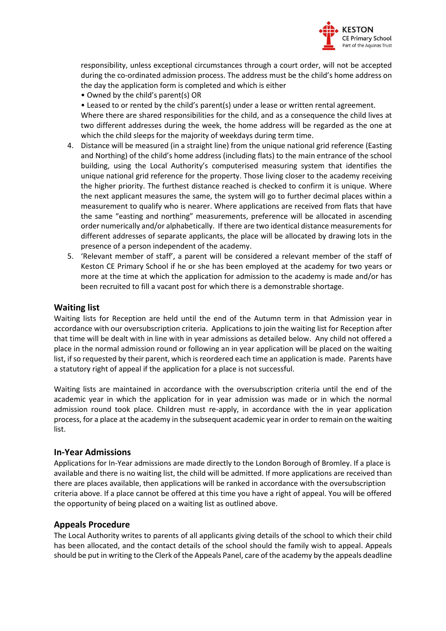

responsibility, unless exceptional circumstances through a court order, will not be accepted during the co-ordinated admission process. The address must be the child's home address on the day the application form is completed and which is either

• Owned by the child's parent(s) OR

• Leased to or rented by the child's parent(s) under a lease or written rental agreement.

Where there are shared responsibilities for the child, and as a consequence the child lives at two different addresses during the week, the home address will be regarded as the one at which the child sleeps for the majority of weekdays during term time.

- 4. Distance will be measured (in a straight line) from the unique national grid reference (Easting and Northing) of the child's home address (including flats) to the main entrance of the school building, using the Local Authority's computerised measuring system that identifies the unique national grid reference for the property. Those living closer to the academy receiving the higher priority. The furthest distance reached is checked to confirm it is unique. Where the next applicant measures the same, the system will go to further decimal places within a measurement to qualify who is nearer. Where applications are received from flats that have the same "easting and northing" measurements, preference will be allocated in ascending order numerically and/or alphabetically. If there are two identical distance measurements for different addresses of separate applicants, the place will be allocated by drawing lots in the presence of a person independent of the academy.
- 5. 'Relevant member of staff', a parent will be considered a relevant member of the staff of Keston CE Primary School if he or she has been employed at the academy for two years or more at the time at which the application for admission to the academy is made and/or has been recruited to fill a vacant post for which there is a demonstrable shortage.

# **Waiting list**

Waiting lists for Reception are held until the end of the Autumn term in that Admission year in accordance with our oversubscription criteria. Applications to join the waiting list for Reception after that time will be dealt with in line with in year admissions as detailed below. Any child not offered a place in the normal admission round or following an in year application will be placed on the waiting list, if so requested by their parent, which is reordered each time an application is made. Parents have a statutory right of appeal if the application for a place is not successful.

Waiting lists are maintained in accordance with the oversubscription criteria until the end of the academic year in which the application for in year admission was made or in which the normal admission round took place. Children must re-apply, in accordance with the in year application process, for a place at the academy in the subsequent academic year in order to remain on the waiting list.

# **In-Year Admissions**

Applications for In-Year admissions are made directly to the London Borough of Bromley. If a place is available and there is no waiting list, the child will be admitted. If more applications are received than there are places available, then applications will be ranked in accordance with the oversubscription criteria above. If a place cannot be offered at this time you have a right of appeal. You will be offered the opportunity of being placed on a waiting list as outlined above.

# **Appeals Procedure**

The Local Authority writes to parents of all applicants giving details of the school to which their child has been allocated, and the contact details of the school should the family wish to appeal. Appeals should be put in writing to the Clerk of the Appeals Panel, care of the academy by the appeals deadline